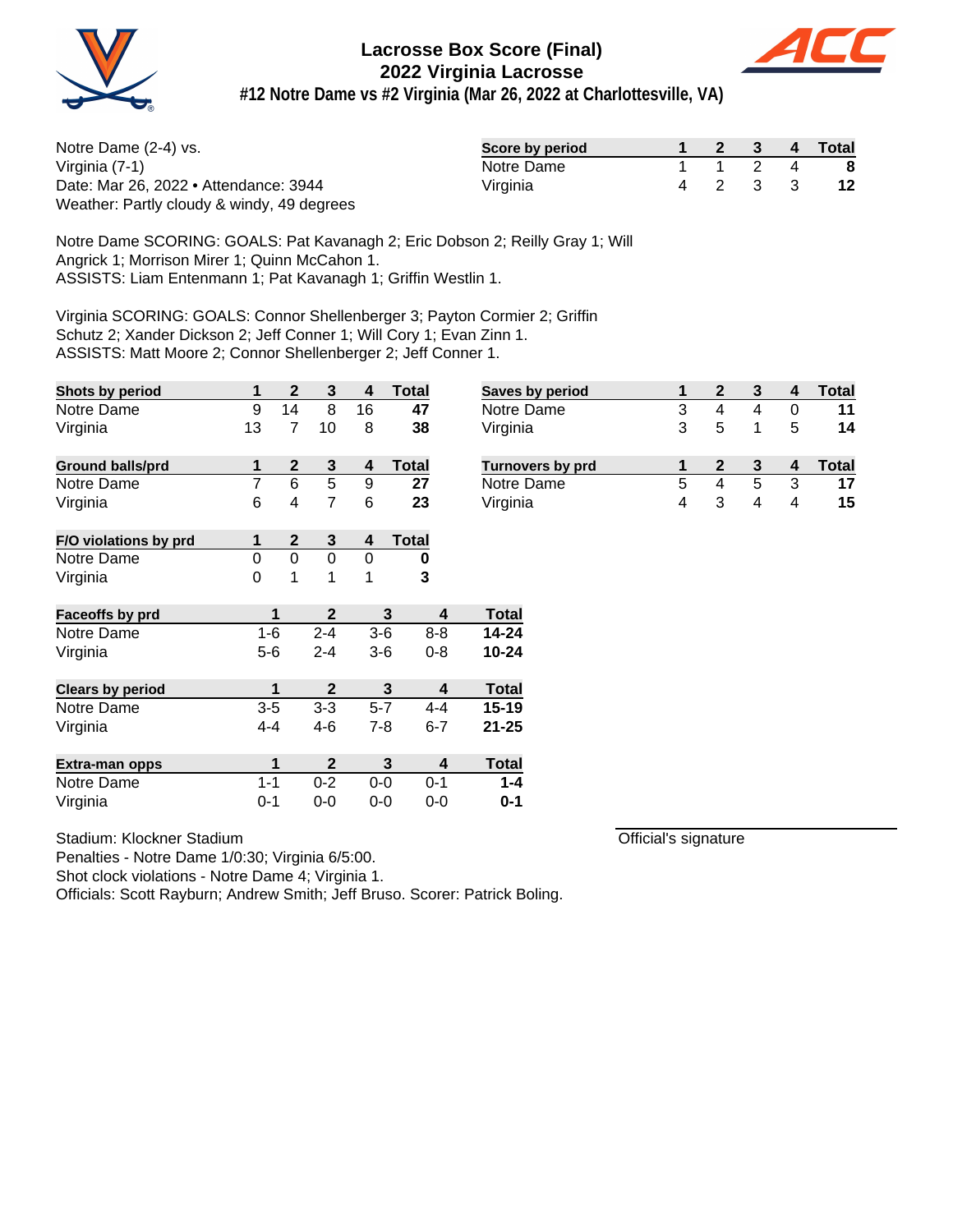



**#12 Notre Dame vs #2 Virginia (Mar 26, 2022 at Charlottesville, VA)**

| Notre Dame (2-4) vs.                       | Score by period |  |         | 2 3 4 Total |
|--------------------------------------------|-----------------|--|---------|-------------|
| Virginia (7-1)                             | Notre Dame      |  | 1 2 4   | - 8         |
| Date: Mar 26, 2022 • Attendance: 3944      | Virginia        |  | 4 2 3 3 | 12          |
| Weather: Partly cloudy & windy, 49 degrees |                 |  |         |             |

Notre Dame SCORING: GOALS: Pat Kavanagh 2; Eric Dobson 2; Reilly Gray 1; Will Angrick 1; Morrison Mirer 1; Quinn McCahon 1. ASSISTS: Liam Entenmann 1; Pat Kavanagh 1; Griffin Westlin 1.

Virginia SCORING: GOALS: Connor Shellenberger 3; Payton Cormier 2; Griffin Schutz 2; Xander Dickson 2; Jeff Conner 1; Will Cory 1; Evan Zinn 1. ASSISTS: Matt Moore 2; Connor Shellenberger 2; Jeff Conner 1.

| Shots by period         | 1              | $\mathbf{2}$ | 3            | 4       | <b>Total</b> |         | <b>Saves</b> |  |
|-------------------------|----------------|--------------|--------------|---------|--------------|---------|--------------|--|
| Notre Dame              | 9              | 14           | 8            | 16      | 47           |         | Notre        |  |
| Virginia                | 13             | 7            | 10           | 8       | 38           |         | Virgin       |  |
| <b>Ground balls/prd</b> | 1              | $\mathbf 2$  | 3            | 4       | <b>Total</b> |         | <b>Turno</b> |  |
| Notre Dame              | $\overline{7}$ | 6            | 5            | 9       | 27           |         | Notre        |  |
| Virginia                | 6              | 4            | 7            | 6       | 23           |         | Virgin       |  |
| F/O violations by prd   | 1              | $\mathbf{2}$ | 3            | 4       | <b>Total</b> |         |              |  |
| Notre Dame              | 0              | 0            | 0            | 0       | 0            |         |              |  |
| Virginia                | 0              | 1            | 1            | 1       | 3            |         |              |  |
| Faceoffs by prd         | 1              |              | $\mathbf{2}$ |         | 3            | 4       | <b>Total</b> |  |
| Notre Dame              | $1 - 6$        |              | $2 - 4$      | $3-6$   |              | $8 - 8$ | 14-24        |  |
| Virginia                | $5-6$          |              | $2 - 4$      | $3-6$   |              | $0 - 8$ | 10-24        |  |
| <b>Clears by period</b> | 1              |              | $\mathbf 2$  |         | 3            | 4       | <b>Total</b> |  |
| Notre Dame              | $3-5$          |              | $3 - 3$      | $5-7$   |              | $4 - 4$ | 15-19        |  |
| Virginia                | $4 - 4$        |              | 4-6          | $7 - 8$ |              | $6 - 7$ | $21 - 25$    |  |
| <b>Extra-man opps</b>   | 1              |              | $\mathbf{2}$ |         | 3            | 4       | <b>Total</b> |  |
| Notre Dame              | $1 - 1$        |              | $0 - 2$      | $0 - 0$ |              | $0 - 1$ | $1 - 4$      |  |
| Virginia                | 0-1            |              | $0-0$        | $0 - 0$ |              | $0 - 0$ | $0 - 1$      |  |

Stadium: Klockner Stadium

Penalties - Notre Dame 1/0:30; Virginia 6/5:00.

Shot clock violations - Notre Dame 4; Virginia 1.

Officials: Scott Rayburn; Andrew Smith; Jeff Bruso. Scorer: Patrick Boling.

| <b>Saves by period</b>  |   |   |   |   | Total |
|-------------------------|---|---|---|---|-------|
| Notre Dame              | 3 |   |   |   |       |
| Virginia                | 3 | 5 |   | 5 | 14    |
| <b>Turnovers by prd</b> |   |   |   |   | Total |
| Notre Dame              | 5 |   | 5 | 3 |       |
| Virginia                | 4 | 3 |   |   | 15    |

Official's signature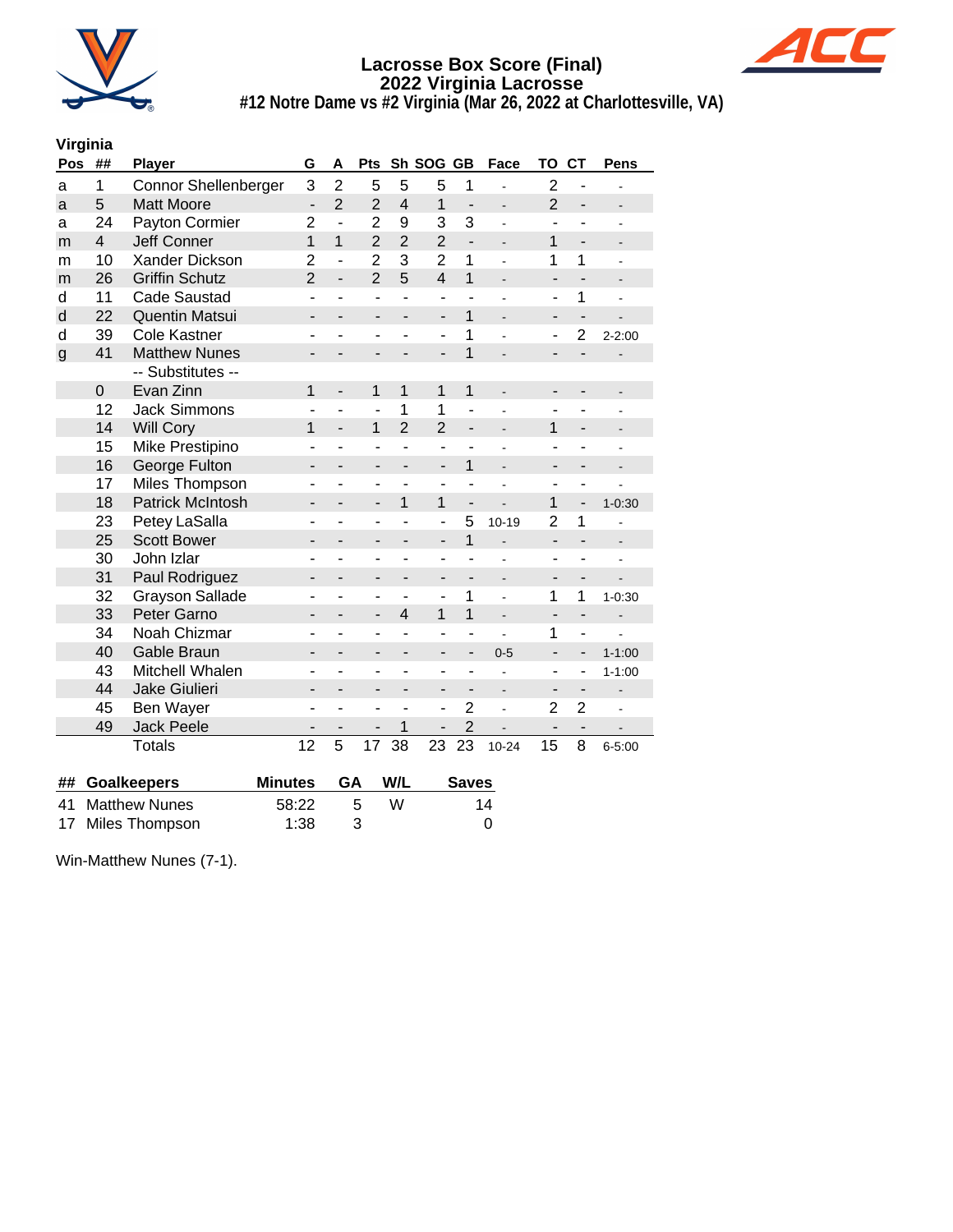



**#12 Notre Dame vs #2 Virginia (Mar 26, 2022 at Charlottesville, VA)**

#### **Virginia**

| Pos          | ##             | <b>Player</b>           | G                        | A                            | Pts                          |                          | Sh SOG GB                |                          | Face                     | TO                       | <b>CT</b>                    | Pens                     |
|--------------|----------------|-------------------------|--------------------------|------------------------------|------------------------------|--------------------------|--------------------------|--------------------------|--------------------------|--------------------------|------------------------------|--------------------------|
| a            | 1              | Connor Shellenberger    | 3                        | $\overline{2}$               | 5                            | 5                        | 5                        | 1                        |                          | $\overline{2}$           |                              |                          |
| a            | 5              | <b>Matt Moore</b>       | $\overline{a}$           | $\overline{2}$               | $\overline{2}$               | $\overline{4}$           | 1                        | $\overline{a}$           | $\overline{\phantom{a}}$ | $\overline{2}$           | $\overline{\phantom{0}}$     |                          |
| a            | 24             | Payton Cormier          | $\overline{2}$           | $\overline{a}$               | $\overline{2}$               | 9                        | 3                        | 3                        | ÷                        |                          |                              |                          |
| m            | $\overline{4}$ | <b>Jeff Conner</b>      | $\overline{1}$           | $\overline{1}$               | $\overline{2}$               | $\overline{2}$           | $\overline{2}$           | $\overline{a}$           | $\overline{\phantom{0}}$ | 1                        | $\overline{a}$               |                          |
| m            | 10             | Xander Dickson          | $\overline{2}$           | ÷,                           | $\overline{2}$               | 3                        | $\overline{2}$           | $\mathbf 1$              | $\overline{\phantom{a}}$ | 1                        | 1                            |                          |
| m            | 26             | <b>Griffin Schutz</b>   | $\overline{2}$           | $\overline{a}$               | $\overline{2}$               | 5                        | $\overline{4}$           | $\overline{1}$           | $\overline{\phantom{a}}$ | $\overline{\phantom{a}}$ | $\overline{a}$               |                          |
| d            | 11             | <b>Cade Saustad</b>     | ٠                        | ÷                            | $\overline{\phantom{a}}$     |                          | ٠                        | ٠                        |                          | ٠                        | 1                            |                          |
| d            | 22             | <b>Quentin Matsui</b>   | -                        |                              | -                            |                          | -                        | 1                        |                          | -                        | $\overline{a}$               |                          |
| d            | 39             | <b>Cole Kastner</b>     |                          |                              | ٠                            |                          | ۰                        | 1                        |                          | ٠                        | $\overline{2}$               | $2 - 2:00$               |
| $\mathsf{g}$ | 41             | <b>Matthew Nunes</b>    | $\overline{\phantom{0}}$ |                              |                              |                          | $\overline{a}$           | $\overline{1}$           |                          |                          | $\overline{a}$               |                          |
|              |                | -- Substitutes --       |                          |                              |                              |                          |                          |                          |                          |                          |                              |                          |
|              | $\mathbf 0$    | Evan Zinn               | 1                        | $\qquad \qquad \blacksquare$ | 1                            | 1                        | $\mathbf 1$              | $\mathbf{1}$             | $\blacksquare$           | ٠                        |                              |                          |
|              | 12             | <b>Jack Simmons</b>     |                          |                              | $\overline{a}$               | 1                        | 1                        | L                        |                          |                          |                              |                          |
|              | 14             | <b>Will Cory</b>        | 1                        | $\blacksquare$               | 1                            | $\overline{2}$           | $\overline{2}$           | $\overline{\phantom{0}}$ |                          | 1                        | $\overline{a}$               |                          |
|              | 15             | Mike Prestipino         | ۰                        |                              | ä,                           | ÷,                       | ÷,                       | ÷                        |                          | ٠                        |                              |                          |
|              | 16             | George Fulton           | -                        | $\overline{\phantom{0}}$     | ٠                            | $\overline{\phantom{0}}$ | $\overline{\phantom{a}}$ | $\mathbf{1}$             | $\overline{\phantom{a}}$ | -                        | -                            |                          |
|              | 17             | Miles Thompson          |                          |                              | $\blacksquare$               |                          |                          |                          |                          |                          |                              |                          |
|              | 18             | <b>Patrick McIntosh</b> | -                        |                              | $\overline{\phantom{a}}$     | 1                        | 1                        | $\overline{\phantom{0}}$ |                          | 1                        | $\overline{a}$               | $1 - 0:30$               |
|              | 23             | Petey LaSalla           | ٠                        | ÷                            | $\overline{a}$               |                          | $\overline{a}$           | 5                        | $10 - 19$                | $\overline{2}$           | 1                            |                          |
|              | 25             | <b>Scott Bower</b>      | -                        |                              | $\overline{\phantom{a}}$     | $\overline{\phantom{a}}$ | -                        | $\overline{1}$           | $\overline{a}$           | $\overline{\phantom{a}}$ | $\overline{a}$               |                          |
|              | 30             | John Izlar              |                          |                              | ä,                           |                          | ÷                        |                          |                          |                          |                              |                          |
|              | 31             | Paul Rodriguez          |                          |                              | $\overline{\phantom{a}}$     |                          | -                        | $\overline{\phantom{0}}$ | $\overline{\phantom{m}}$ |                          |                              |                          |
|              | 32             | <b>Grayson Sallade</b>  | ۰                        |                              | $\blacksquare$               |                          | L,                       | 1                        | ä,                       | 1                        | 1                            | $1 - 0:30$               |
|              | 33             | Peter Garno             | $\overline{\phantom{0}}$ |                              | $\overline{\phantom{a}}$     | $\overline{4}$           | 1                        | $\overline{1}$           | $\overline{a}$           | $\overline{a}$           | $\overline{a}$               |                          |
|              | 34             | Noah Chizmar            | ۰                        |                              | $\overline{\phantom{a}}$     |                          | ۰                        | Ĭ.                       |                          | 1                        | ÷,                           |                          |
|              | 40             | Gable Braun             | -                        |                              | $\qquad \qquad \blacksquare$ | $\overline{\phantom{0}}$ | -                        | -                        | $0 - 5$                  | -                        | -                            | $1 - 1:00$               |
|              | 43             | Mitchell Whalen         | -                        |                              | ۰                            |                          | -                        | ٠                        |                          | ٠                        | -                            | $1 - 1:00$               |
|              | 44             | Jake Giulieri           |                          |                              | $\overline{a}$               |                          | -                        | $\overline{a}$           | $\overline{\phantom{a}}$ |                          | $\overline{\phantom{a}}$     |                          |
|              | 45             | Ben Wayer               |                          | $\overline{a}$               | ۰                            |                          | ٠                        | $\overline{2}$           |                          | $\overline{2}$           | $\overline{2}$               |                          |
|              | 49             | Jack Peele              | -                        |                              | $\qquad \qquad \blacksquare$ | 1                        | -                        | $\overline{2}$           |                          | $\overline{\phantom{a}}$ | $\qquad \qquad \blacksquare$ | $\overline{\phantom{a}}$ |
|              |                | <b>Totals</b>           | 12                       | 5                            | 17                           | 38                       | 23                       | 23                       | $10 - 24$                | 15                       | 8                            | $6 - 5:00$               |
|              |                |                         |                          |                              |                              |                          |                          |                          |                          |                          |                              |                          |

| ## Goalkeepers    | Minutes GA W/L |     |   | <b>Saves</b> |
|-------------------|----------------|-----|---|--------------|
| 41 Matthew Nunes  | 58:22          | -5  | W | 14           |
| 17 Miles Thompson | 1:38           | - 3 |   |              |

Win-Matthew Nunes (7-1).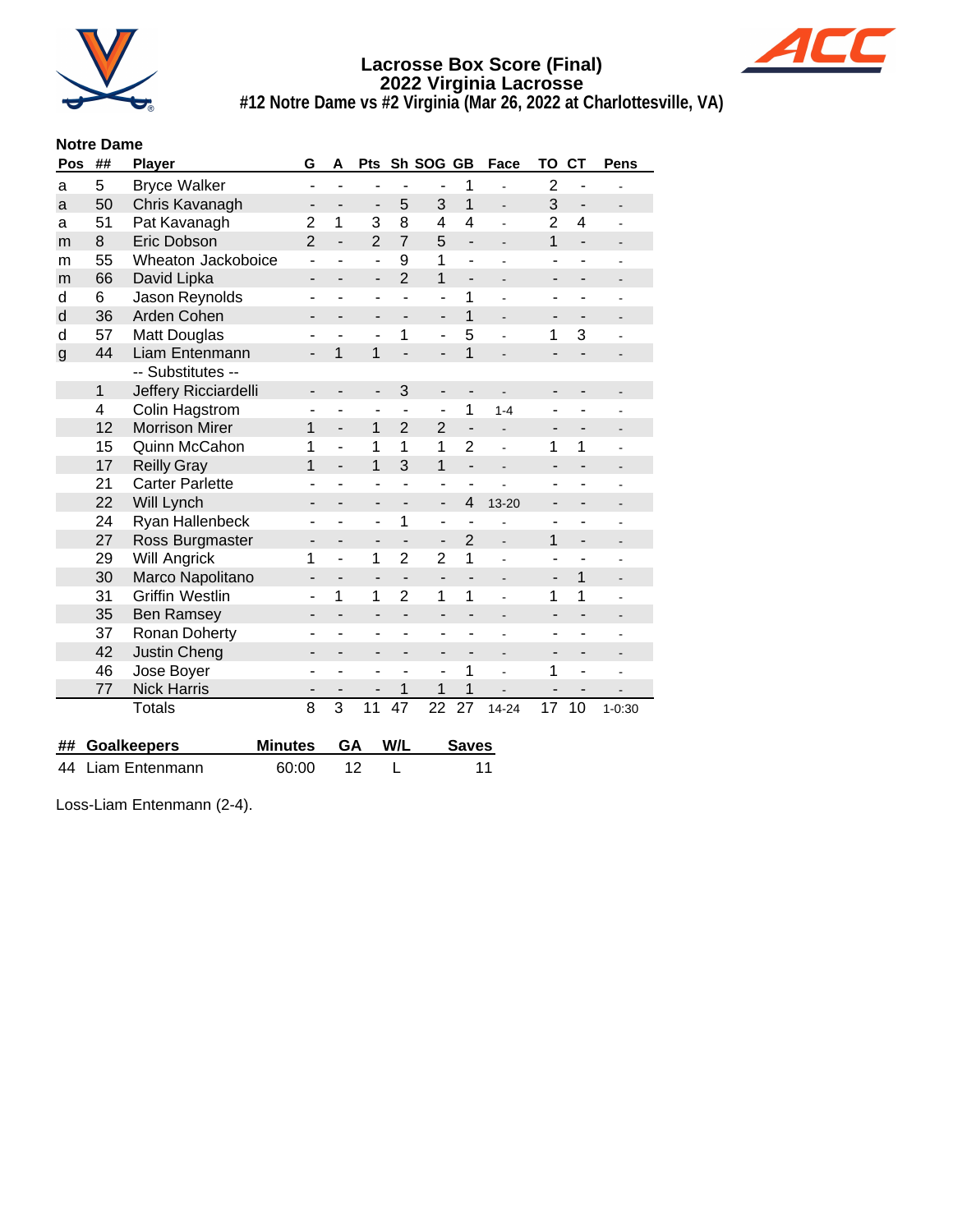



**#12 Notre Dame vs #2 Virginia (Mar 26, 2022 at Charlottesville, VA)**

#### **Notre Dame**

| Pos          | ## | Player                 | G                        | A                        | Pts                      |                 | Sh SOG GB                |                          | Face                     | TO                           | <b>CT</b>                | <b>Pens</b>    |
|--------------|----|------------------------|--------------------------|--------------------------|--------------------------|-----------------|--------------------------|--------------------------|--------------------------|------------------------------|--------------------------|----------------|
| a            | 5  | <b>Bryce Walker</b>    | ۰                        |                          | ۰                        |                 |                          | 1                        |                          | $\overline{2}$               | $\blacksquare$           |                |
| a            | 50 | Chris Kavanagh         | $\overline{\phantom{0}}$ |                          | $\overline{\phantom{a}}$ | 5               | 3                        | 1                        |                          | 3                            | $\overline{\phantom{a}}$ |                |
| a            | 51 | Pat Kavanagh           | $\overline{2}$           | 1                        | 3                        | 8               | $\overline{\mathbf{4}}$  | 4                        |                          | $\overline{2}$               | 4                        |                |
| m            | 8  | Eric Dobson            | $\overline{2}$           | $\overline{a}$           | $\overline{2}$           | $\overline{7}$  | 5                        | $\overline{\phantom{0}}$ | $\overline{\phantom{0}}$ | $\mathbf{1}$                 | $\overline{\phantom{a}}$ |                |
| m            | 55 | Wheaton Jackoboice     | ٠                        | ÷                        | $\blacksquare$           | 9               | 1                        | $\overline{\phantom{0}}$ |                          | $\qquad \qquad \blacksquare$ | $\overline{a}$           |                |
| m            | 66 | David Lipka            | -                        |                          | $\overline{\phantom{a}}$ | $\overline{2}$  | 1                        | $\overline{\phantom{0}}$ |                          | -                            |                          |                |
| d            | 6  | Jason Reynolds         | ۰                        | ۳                        | $\blacksquare$           | $\blacksquare$  | ÷,                       | 1                        |                          | $\blacksquare$               |                          |                |
| d            | 36 | Arden Cohen            | -                        |                          |                          |                 | $\overline{\phantom{0}}$ | $\mathbf{1}$             |                          | ٠                            |                          |                |
| d            | 57 | Matt Douglas           |                          |                          | ÷                        | 1               | ÷,                       | 5                        |                          | 1                            | 3                        |                |
| $\mathsf{g}$ | 44 | Liam Entenmann         | $\overline{\phantom{0}}$ | 1                        | 1                        |                 | $\overline{a}$           | $\overline{1}$           |                          | $\overline{a}$               |                          |                |
|              |    | -- Substitutes --      |                          |                          |                          |                 |                          |                          |                          |                              |                          |                |
|              | 1  | Jeffery Ricciardelli   | -                        |                          |                          | 3               | $\overline{\phantom{0}}$ | $\overline{\phantom{m}}$ |                          |                              |                          |                |
|              | 4  | Colin Hagstrom         | ۰                        | ۰                        | ۰                        |                 | ÷                        | 1                        | $1 - 4$                  |                              |                          |                |
|              | 12 | <b>Morrison Mirer</b>  | 1                        | $\overline{a}$           | 1                        | $\overline{2}$  | $\overline{2}$           | $\frac{1}{2}$            |                          |                              |                          |                |
|              | 15 | Quinn McCahon          | 1                        | ÷                        | 1                        | 1               | 1                        | $\overline{2}$           |                          | 1                            | 1                        |                |
|              | 17 | <b>Reilly Gray</b>     | 1                        | $\overline{\phantom{0}}$ | 1                        | 3               | 1                        | $\overline{\phantom{0}}$ |                          |                              |                          |                |
|              | 21 | <b>Carter Parlette</b> |                          |                          |                          |                 | ٠                        | ۰                        |                          |                              |                          |                |
|              | 22 | Will Lynch             | $\overline{\phantom{0}}$ |                          | $\overline{\phantom{0}}$ |                 | $\overline{a}$           | $\overline{\mathbf{4}}$  | $13 - 20$                |                              |                          |                |
|              | 24 | Ryan Hallenbeck        |                          |                          | ۰                        | 1               | ۰                        |                          |                          |                              |                          |                |
|              | 27 | Ross Burgmaster        | -                        |                          | -                        |                 | $\overline{\phantom{0}}$ | $\overline{2}$           | $\frac{1}{2}$            | 1                            | $\overline{\phantom{a}}$ |                |
|              | 29 | <b>Will Angrick</b>    | 1                        | L,                       | 1                        | $\overline{2}$  | $\overline{2}$           | 1                        |                          |                              |                          |                |
|              | 30 | Marco Napolitano       |                          |                          | $\overline{\phantom{a}}$ |                 | $\overline{a}$           |                          |                          |                              | $\overline{1}$           |                |
|              | 31 | <b>Griffin Westlin</b> |                          | 1                        | 1                        | $\overline{2}$  | 1                        | 1                        |                          | 1                            | 1                        |                |
|              | 35 | <b>Ben Ramsey</b>      | -                        |                          | $\overline{\phantom{0}}$ |                 | $\overline{a}$           |                          |                          | -                            |                          |                |
|              | 37 | Ronan Doherty          |                          |                          | -                        |                 | ۰                        |                          |                          |                              |                          |                |
|              | 42 | Justin Cheng           | ۰                        | ÷,                       | $\blacksquare$           |                 | ÷,                       |                          | $\blacksquare$           | $\blacksquare$               |                          | $\overline{a}$ |
|              | 46 | Jose Boyer             | L                        | ۰                        | ÷                        |                 | ä,                       | 1                        |                          | 1                            | $\blacksquare$           |                |
|              | 77 | <b>Nick Harris</b>     | -                        |                          | -                        | 1               | 1                        | 1                        |                          |                              | $\blacksquare$           |                |
|              |    | <b>Totals</b>          | $\overline{8}$           | $\overline{3}$           | 11                       | $\overline{47}$ | $\overline{22}$          | 27                       | 14-24                    | 17                           | 10                       | $1 - 0:30$     |
| ##           |    | <b>Goalkeepers</b>     | <b>Minutes</b>           | GA                       |                          | W/L             |                          | <b>Saves</b>             |                          |                              |                          |                |
| 44           |    | Liam Entenmann         | 60:00                    |                          | 12                       | L               |                          |                          | 11                       |                              |                          |                |

Loss-Liam Entenmann (2-4).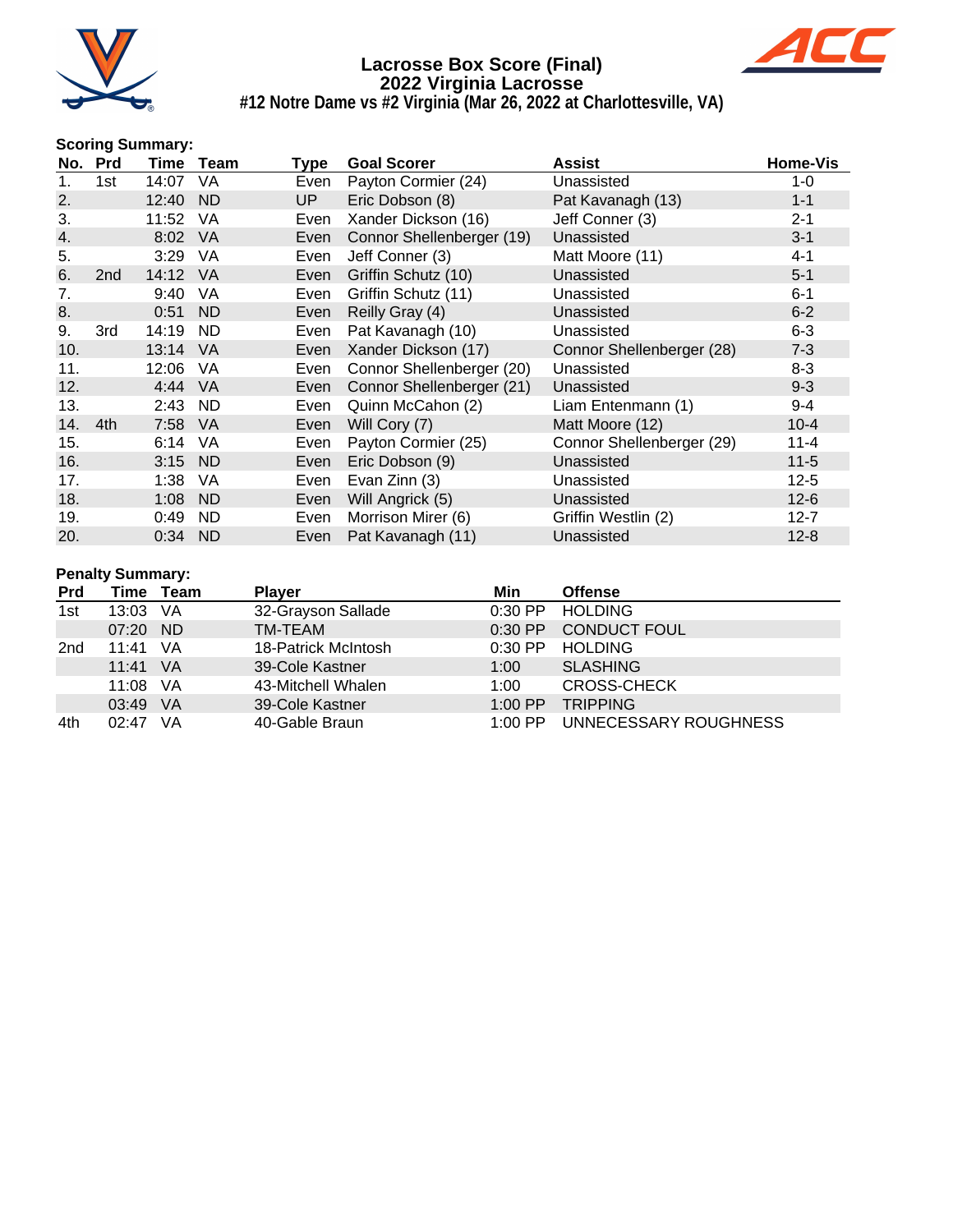



**#12 Notre Dame vs #2 Virginia (Mar 26, 2022 at Charlottesville, VA)**

#### **Scoring Summary:**

|     | No. Prd         |         | Time Team | Type | <b>Goal Scorer</b>        | <b>Assist</b>             | <b>Home-Vis</b> |
|-----|-----------------|---------|-----------|------|---------------------------|---------------------------|-----------------|
| 1.  | 1st.            | 14:07   | VA        | Even | Payton Cormier (24)       | Unassisted                | 1-0             |
| 2.  |                 | 12:40   | ND        | UP.  | Eric Dobson (8)           | Pat Kavanagh (13)         | $1 - 1$         |
| 3.  |                 | 11:52   | VA        | Even | Xander Dickson (16)       | Jeff Conner (3)           | $2 - 1$         |
| 4.  |                 | 8:02    | VA        | Even | Connor Shellenberger (19) | Unassisted                | $3 - 1$         |
| 5.  |                 | 3:29    | VA.       | Even | Jeff Conner (3)           | Matt Moore (11)           | $4 - 1$         |
| 6.  | 2 <sub>nd</sub> | 14:12   | VA        | Even | Griffin Schutz (10)       | Unassisted                | $5 - 1$         |
| 7.  |                 | 9:40    | VA.       | Even | Griffin Schutz (11)       | Unassisted                | $6 - 1$         |
| 8.  |                 | 0:51    | <b>ND</b> | Even | Reilly Gray (4)           | Unassisted                | $6 - 2$         |
| 9.  | 3rd             | 14:19   | <b>ND</b> | Even | Pat Kavanagh (10)         | Unassisted                | $6 - 3$         |
| 10. |                 | 13:14   | <b>VA</b> | Even | Xander Dickson (17)       | Connor Shellenberger (28) | $7 - 3$         |
| 11. |                 | 12:06   | VA        | Even | Connor Shellenberger (20) | Unassisted                | $8 - 3$         |
| 12. |                 | 4:44    | <b>VA</b> | Even | Connor Shellenberger (21) | Unassisted                | $9 - 3$         |
| 13. |                 | 2:43    | <b>ND</b> | Even | Quinn McCahon (2)         | Liam Entenmann (1)        | $9 - 4$         |
| 14. | 4th             | 7:58    | <b>VA</b> | Even | Will Cory (7)             | Matt Moore (12)           | $10 - 4$        |
| 15. |                 | 6:14    | VA        | Even | Payton Cormier (25)       | Connor Shellenberger (29) | $11 - 4$        |
| 16. |                 | 3:15    | ND        | Even | Eric Dobson (9)           | Unassisted                | $11 - 5$        |
| 17. |                 | 1:38    | <b>VA</b> | Even | Evan Zinn (3)             | Unassisted                | $12 - 5$        |
| 18. |                 | 1:08    | <b>ND</b> | Even | Will Angrick (5)          | Unassisted                | $12-6$          |
| 19. |                 | 0:49    | <b>ND</b> | Even | Morrison Mirer (6)        | Griffin Westlin (2)       | $12 - 7$        |
| 20. |                 | 0:34 ND |           | Even | Pat Kavanagh (11)         | Unassisted                | $12 - 8$        |

#### **Penalty Summary:**

| <b>Prd</b>      | Time  | Team | <b>Player</b>       | Min       | <b>Offense</b>        |
|-----------------|-------|------|---------------------|-----------|-----------------------|
| 1st             | 13:03 | -VA  | 32-Grayson Sallade  | $0:30$ PP | <b>HOLDING</b>        |
|                 | 07:20 | - ND | TM-TEAM             | $0:30$ PP | <b>CONDUCT FOUL</b>   |
| 2 <sub>nd</sub> | 11:41 | - VA | 18-Patrick McIntosh | $0:30$ PP | <b>HOLDING</b>        |
|                 | 11:41 | - VA | 39-Cole Kastner     | 1:00      | <b>SLASHING</b>       |
|                 | 11:08 | - VA | 43-Mitchell Whalen  | 1:00      | <b>CROSS-CHECK</b>    |
|                 | 03:49 | VA   | 39-Cole Kastner     | $1:00$ PP | <b>TRIPPING</b>       |
| 4th             | 02.47 | VA   | 40-Gable Braun      | $1:00$ PP | UNNECESSARY ROUGHNESS |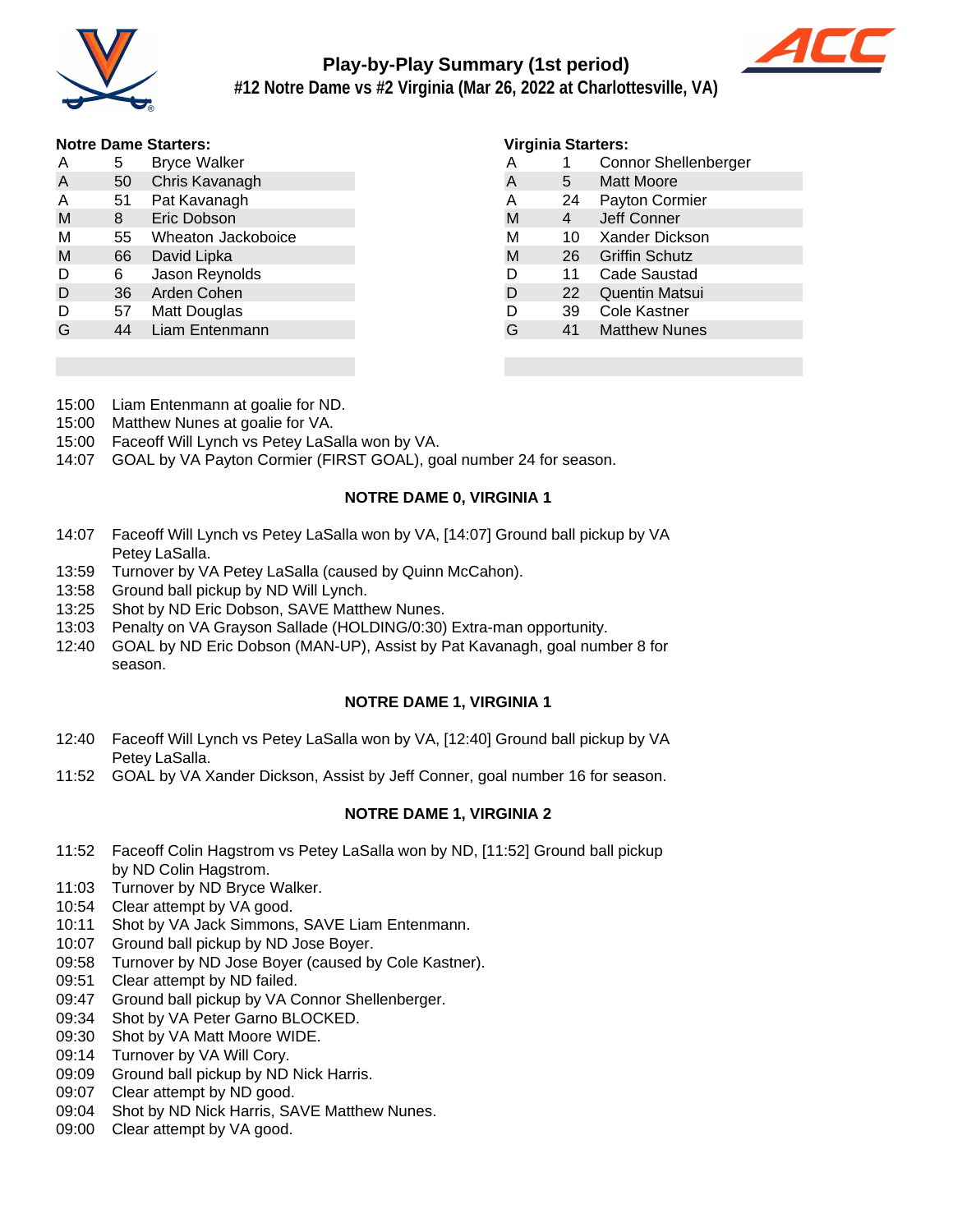

# **Play-by-Play Summary (1st period)**



**#12 Notre Dame vs #2 Virginia (Mar 26, 2022 at Charlottesville, VA)**

#### **Notre Dame Starters:**

| Α | 5  | <b>Bryce Walker</b> |
|---|----|---------------------|
| A | 50 | Chris Kavanagh      |
| Α | 51 | Pat Kavanagh        |
| M | 8  | Eric Dobson         |
| М | 55 | Wheaton Jackoboice  |
| M | 66 | David Lipka         |
| D | 6  | Jason Reynolds      |
| D | 36 | Arden Cohen         |
| D | 57 | Matt Douglas        |
| G | 44 | Liam Entenmann      |
|   |    |                     |

#### **Virginia Starters:**

| A | 1  | <b>Connor Shellenberger</b> |  |  |  |  |  |  |
|---|----|-----------------------------|--|--|--|--|--|--|
| A | 5  | <b>Matt Moore</b>           |  |  |  |  |  |  |
| Α | 24 | Payton Cormier              |  |  |  |  |  |  |
| M | 4  | Jeff Conner                 |  |  |  |  |  |  |
| М | 10 | Xander Dickson              |  |  |  |  |  |  |
| M | 26 | <b>Griffin Schutz</b>       |  |  |  |  |  |  |
| D | 11 | Cade Saustad                |  |  |  |  |  |  |
| D | 22 | <b>Quentin Matsui</b>       |  |  |  |  |  |  |
| D | 39 | Cole Kastner                |  |  |  |  |  |  |
| G | 41 | <b>Matthew Nunes</b>        |  |  |  |  |  |  |
|   |    |                             |  |  |  |  |  |  |

- 15:00 Liam Entenmann at goalie for ND.
- 15:00 Matthew Nunes at goalie for VA.
- 15:00 Faceoff Will Lynch vs Petey LaSalla won by VA.
- 14:07 GOAL by VA Payton Cormier (FIRST GOAL), goal number 24 for season.

#### **NOTRE DAME 0, VIRGINIA 1**

- 14:07 Faceoff Will Lynch vs Petey LaSalla won by VA, [14:07] Ground ball pickup by VA Petey LaSalla.
- 13:59 Turnover by VA Petey LaSalla (caused by Quinn McCahon).
- 13:58 Ground ball pickup by ND Will Lynch.
- 13:25 Shot by ND Eric Dobson, SAVE Matthew Nunes.
- 13:03 Penalty on VA Grayson Sallade (HOLDING/0:30) Extra-man opportunity.
- 12:40 GOAL by ND Eric Dobson (MAN-UP), Assist by Pat Kavanagh, goal number 8 for season.

#### **NOTRE DAME 1, VIRGINIA 1**

- 12:40 Faceoff Will Lynch vs Petey LaSalla won by VA, [12:40] Ground ball pickup by VA Petey LaSalla.
- 11:52 GOAL by VA Xander Dickson, Assist by Jeff Conner, goal number 16 for season.

#### **NOTRE DAME 1, VIRGINIA 2**

- 11:52 Faceoff Colin Hagstrom vs Petey LaSalla won by ND, [11:52] Ground ball pickup by ND Colin Hagstrom.
- 11:03 Turnover by ND Bryce Walker.
- 10:54 Clear attempt by VA good.
- 10:11 Shot by VA Jack Simmons, SAVE Liam Entenmann.
- 10:07 Ground ball pickup by ND Jose Boyer.
- 09:58 Turnover by ND Jose Boyer (caused by Cole Kastner).
- 09:51 Clear attempt by ND failed.
- 09:47 Ground ball pickup by VA Connor Shellenberger.
- 09:34 Shot by VA Peter Garno BLOCKED.
- 09:30 Shot by VA Matt Moore WIDE.
- 09:14 Turnover by VA Will Cory.
- 09:09 Ground ball pickup by ND Nick Harris.
- 09:07 Clear attempt by ND good.
- 09:04 Shot by ND Nick Harris, SAVE Matthew Nunes.
- 09:00 Clear attempt by VA good.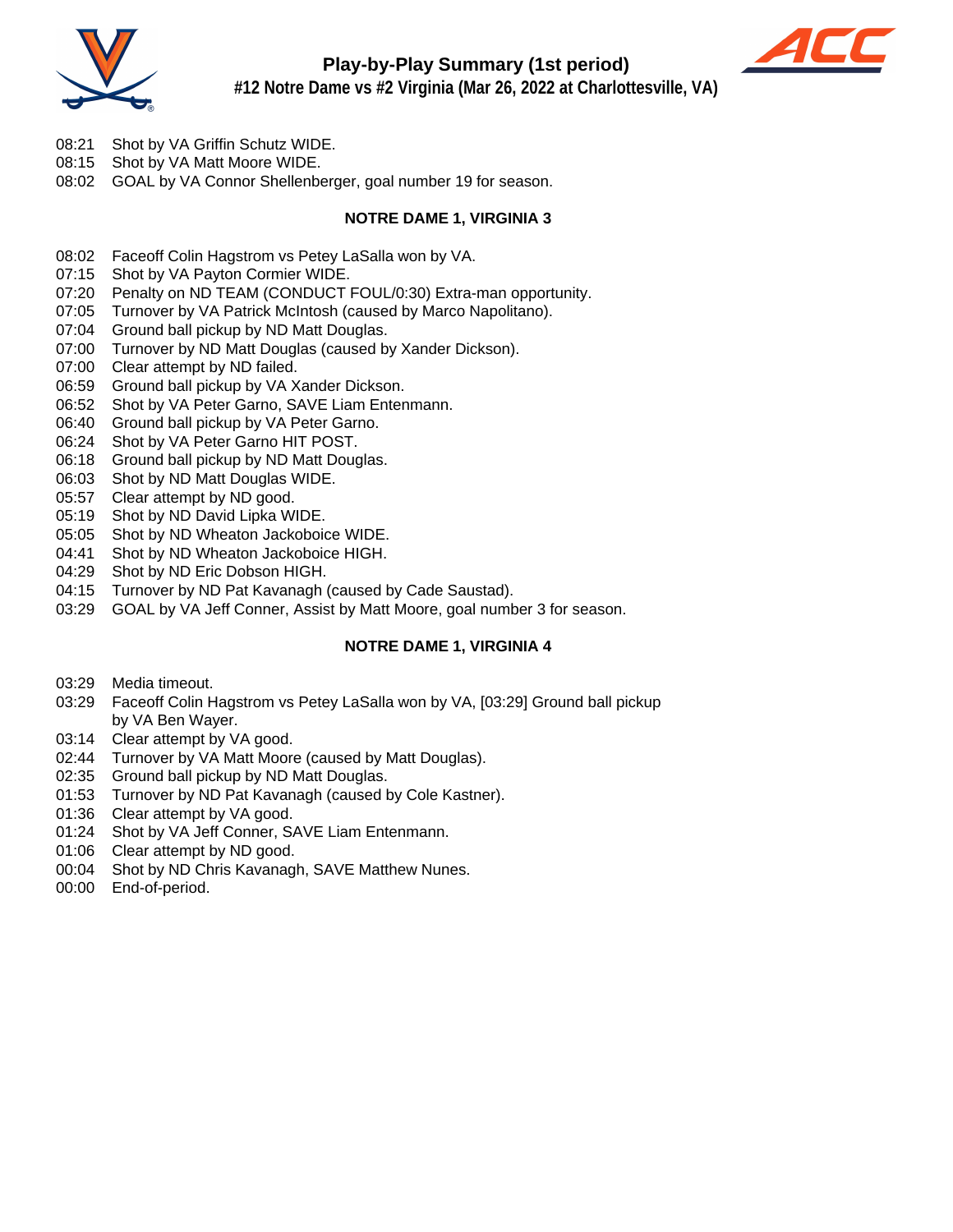

## **Play-by-Play Summary (1st period)**



**#12 Notre Dame vs #2 Virginia (Mar 26, 2022 at Charlottesville, VA)**

- 08:21 Shot by VA Griffin Schutz WIDE.
- 08:15 Shot by VA Matt Moore WIDE.
- 08:02 GOAL by VA Connor Shellenberger, goal number 19 for season.

#### **NOTRE DAME 1, VIRGINIA 3**

- 08:02 Faceoff Colin Hagstrom vs Petey LaSalla won by VA.
- 07:15 Shot by VA Payton Cormier WIDE.
- 07:20 Penalty on ND TEAM (CONDUCT FOUL/0:30) Extra-man opportunity.
- 07:05 Turnover by VA Patrick McIntosh (caused by Marco Napolitano).
- 07:04 Ground ball pickup by ND Matt Douglas.
- 07:00 Turnover by ND Matt Douglas (caused by Xander Dickson).
- 07:00 Clear attempt by ND failed.
- 06:59 Ground ball pickup by VA Xander Dickson.
- 06:52 Shot by VA Peter Garno, SAVE Liam Entenmann.
- 06:40 Ground ball pickup by VA Peter Garno.
- 06:24 Shot by VA Peter Garno HIT POST.
- 06:18 Ground ball pickup by ND Matt Douglas.
- 06:03 Shot by ND Matt Douglas WIDE.
- 05:57 Clear attempt by ND good.
- 05:19 Shot by ND David Lipka WIDE.
- 05:05 Shot by ND Wheaton Jackoboice WIDE.
- 04:41 Shot by ND Wheaton Jackoboice HIGH.
- 04:29 Shot by ND Eric Dobson HIGH.
- 04:15 Turnover by ND Pat Kavanagh (caused by Cade Saustad).
- 03:29 GOAL by VA Jeff Conner, Assist by Matt Moore, goal number 3 for season.

#### **NOTRE DAME 1, VIRGINIA 4**

- 03:29 Media timeout.
- 03:29 Faceoff Colin Hagstrom vs Petey LaSalla won by VA, [03:29] Ground ball pickup by VA Ben Wayer.
- 03:14 Clear attempt by VA good.
- 02:44 Turnover by VA Matt Moore (caused by Matt Douglas).
- 02:35 Ground ball pickup by ND Matt Douglas.
- 01:53 Turnover by ND Pat Kavanagh (caused by Cole Kastner).
- 01:36 Clear attempt by VA good.
- 01:24 Shot by VA Jeff Conner, SAVE Liam Entenmann.
- 01:06 Clear attempt by ND good.
- 00:04 Shot by ND Chris Kavanagh, SAVE Matthew Nunes.
- 00:00 End-of-period.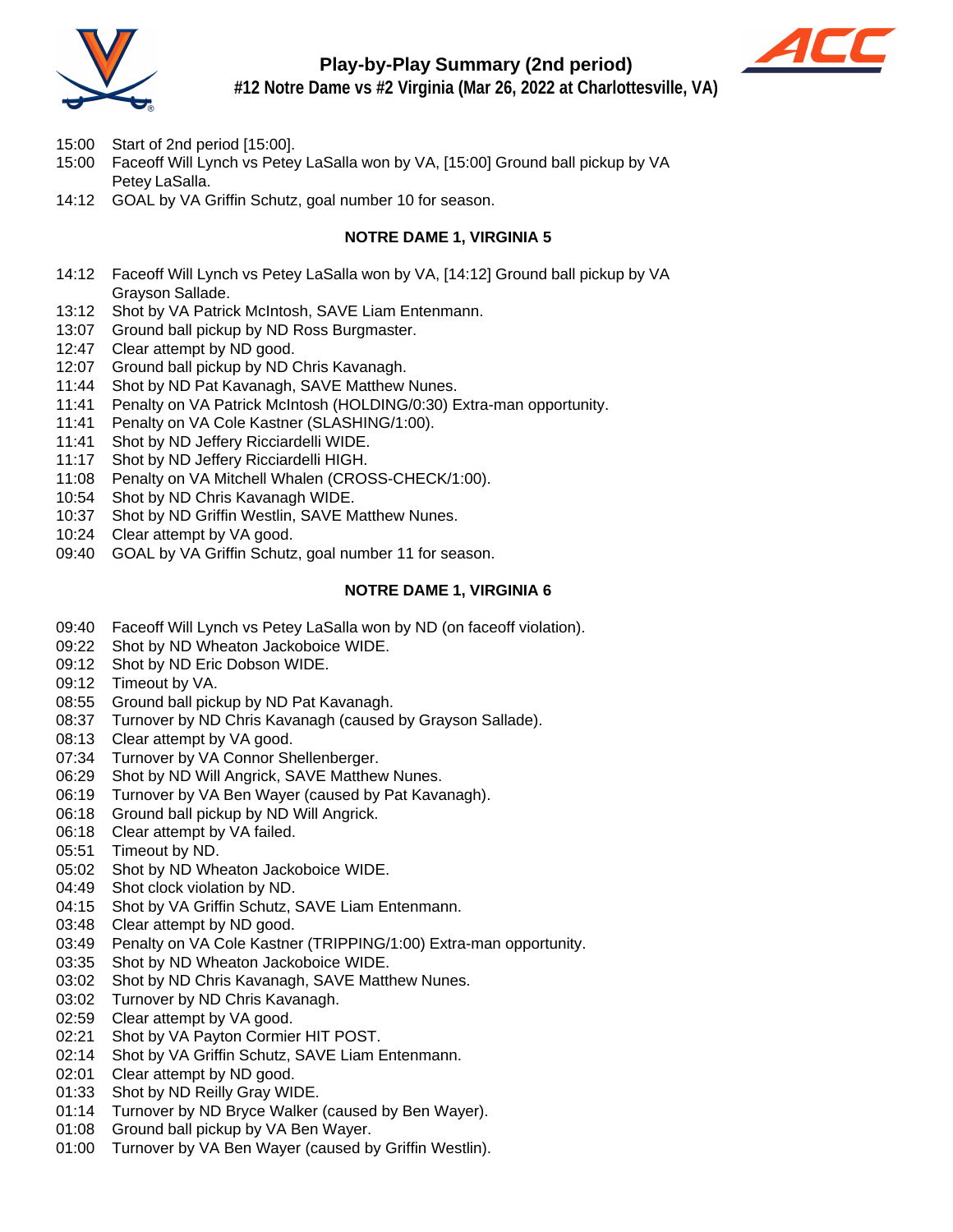

## **Play-by-Play Summary (2nd period)**



**#12 Notre Dame vs #2 Virginia (Mar 26, 2022 at Charlottesville, VA)**

- 15:00 Start of 2nd period [15:00].
- 15:00 Faceoff Will Lynch vs Petey LaSalla won by VA, [15:00] Ground ball pickup by VA Petey LaSalla.
- 14:12 GOAL by VA Griffin Schutz, goal number 10 for season.

#### **NOTRE DAME 1, VIRGINIA 5**

- 14:12 Faceoff Will Lynch vs Petey LaSalla won by VA, [14:12] Ground ball pickup by VA Grayson Sallade.
- 13:12 Shot by VA Patrick McIntosh, SAVE Liam Entenmann.
- 13:07 Ground ball pickup by ND Ross Burgmaster.
- 12:47 Clear attempt by ND good.
- 12:07 Ground ball pickup by ND Chris Kavanagh.
- 11:44 Shot by ND Pat Kavanagh, SAVE Matthew Nunes.
- 11:41 Penalty on VA Patrick McIntosh (HOLDING/0:30) Extra-man opportunity.
- 11:41 Penalty on VA Cole Kastner (SLASHING/1:00).
- 11:41 Shot by ND Jeffery Ricciardelli WIDE.
- 11:17 Shot by ND Jeffery Ricciardelli HIGH.
- 11:08 Penalty on VA Mitchell Whalen (CROSS-CHECK/1:00).
- 10:54 Shot by ND Chris Kavanagh WIDE.
- 10:37 Shot by ND Griffin Westlin, SAVE Matthew Nunes.
- 10:24 Clear attempt by VA good.
- 09:40 GOAL by VA Griffin Schutz, goal number 11 for season.

#### **NOTRE DAME 1, VIRGINIA 6**

- 09:40 Faceoff Will Lynch vs Petey LaSalla won by ND (on faceoff violation).
- 09:22 Shot by ND Wheaton Jackoboice WIDE.
- 09:12 Shot by ND Eric Dobson WIDE.
- 09:12 Timeout by VA.
- 08:55 Ground ball pickup by ND Pat Kavanagh.
- 08:37 Turnover by ND Chris Kavanagh (caused by Grayson Sallade).
- 08:13 Clear attempt by VA good.
- 07:34 Turnover by VA Connor Shellenberger.
- 06:29 Shot by ND Will Angrick, SAVE Matthew Nunes.
- 06:19 Turnover by VA Ben Wayer (caused by Pat Kavanagh).
- 06:18 Ground ball pickup by ND Will Angrick.
- 06:18 Clear attempt by VA failed.
- 05:51 Timeout by ND.
- 05:02 Shot by ND Wheaton Jackoboice WIDE.
- 04:49 Shot clock violation by ND.
- 04:15 Shot by VA Griffin Schutz, SAVE Liam Entenmann.
- 03:48 Clear attempt by ND good.
- 03:49 Penalty on VA Cole Kastner (TRIPPING/1:00) Extra-man opportunity.
- 03:35 Shot by ND Wheaton Jackoboice WIDE.
- 03:02 Shot by ND Chris Kavanagh, SAVE Matthew Nunes.
- 03:02 Turnover by ND Chris Kavanagh.
- 02:59 Clear attempt by VA good.
- 02:21 Shot by VA Payton Cormier HIT POST.
- 02:14 Shot by VA Griffin Schutz, SAVE Liam Entenmann.
- 02:01 Clear attempt by ND good.
- 01:33 Shot by ND Reilly Gray WIDE.
- 01:14 Turnover by ND Bryce Walker (caused by Ben Wayer).
- 01:08 Ground ball pickup by VA Ben Wayer.
- 01:00 Turnover by VA Ben Wayer (caused by Griffin Westlin).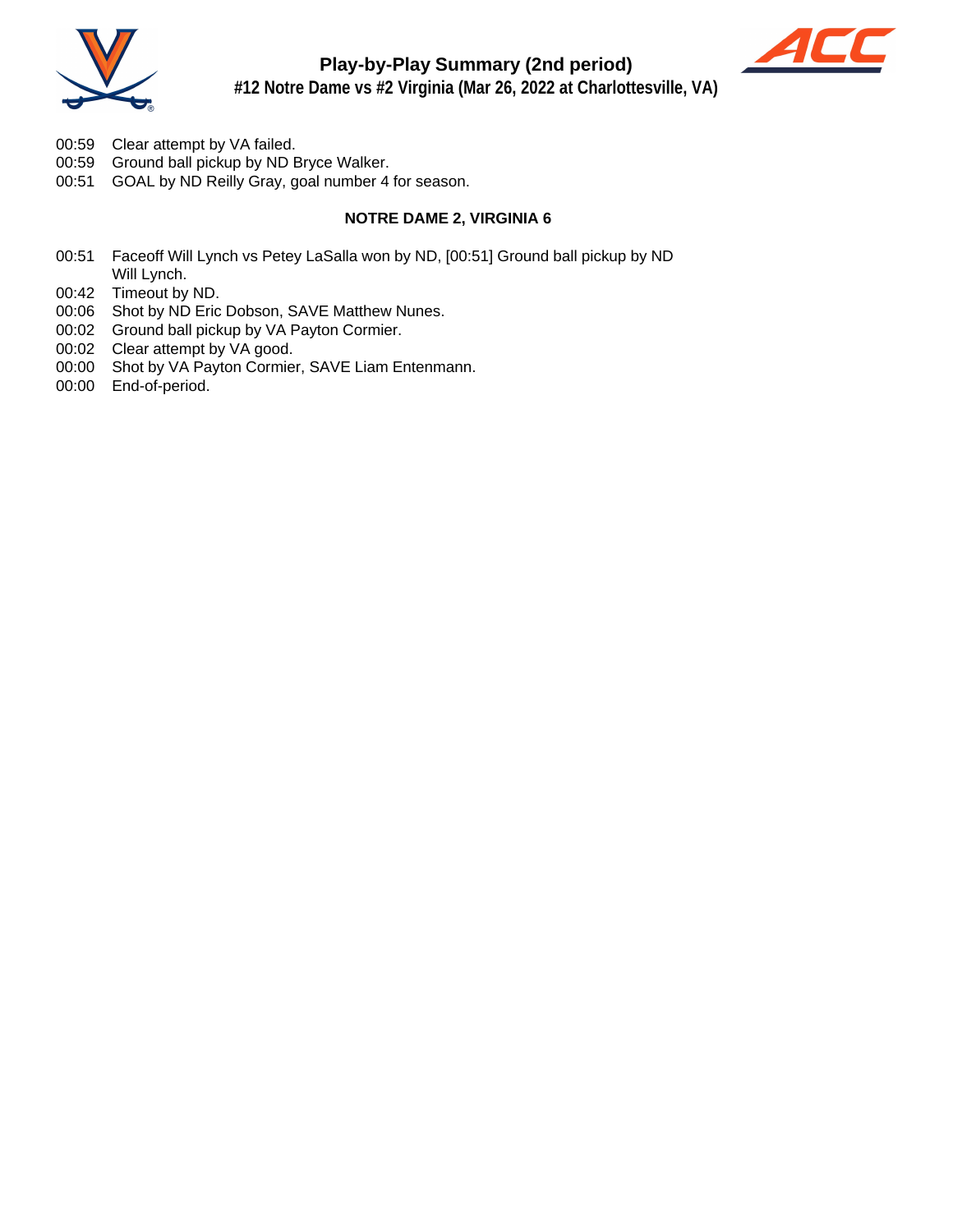



- 00:59 Clear attempt by VA failed.
- 00:59 Ground ball pickup by ND Bryce Walker.
- 00:51 GOAL by ND Reilly Gray, goal number 4 for season.

#### **NOTRE DAME 2, VIRGINIA 6**

- 00:51 Faceoff Will Lynch vs Petey LaSalla won by ND, [00:51] Ground ball pickup by ND Will Lynch.
- 00:42 Timeout by ND.
- 00:06 Shot by ND Eric Dobson, SAVE Matthew Nunes.
- 00:02 Ground ball pickup by VA Payton Cormier.
- 00:02 Clear attempt by VA good.
- 00:00 Shot by VA Payton Cormier, SAVE Liam Entenmann.
- 00:00 End-of-period.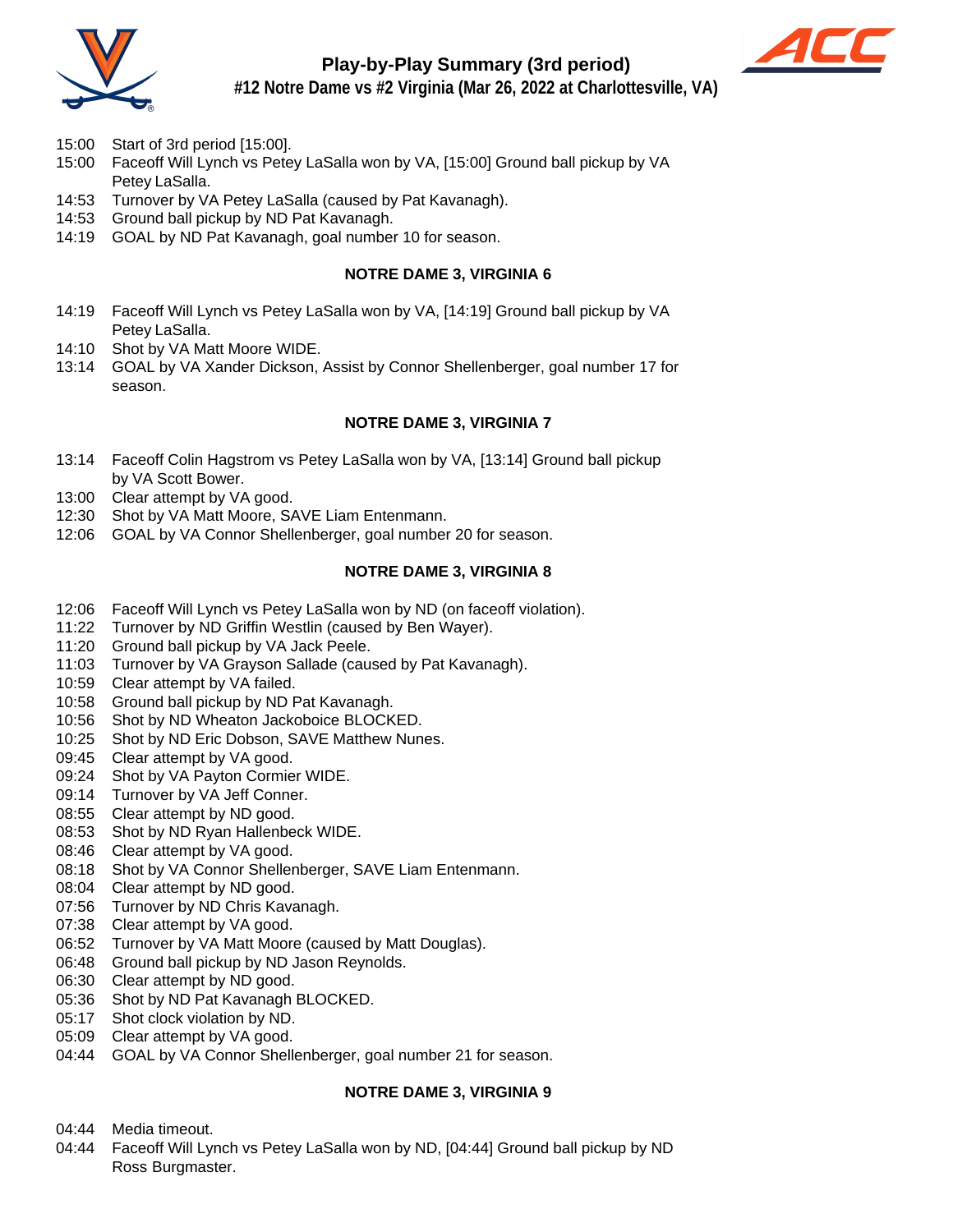

## **Play-by-Play Summary (3rd period)**



**#12 Notre Dame vs #2 Virginia (Mar 26, 2022 at Charlottesville, VA)**

- 15:00 Start of 3rd period [15:00].
- 15:00 Faceoff Will Lynch vs Petey LaSalla won by VA, [15:00] Ground ball pickup by VA Petey LaSalla.
- 14:53 Turnover by VA Petey LaSalla (caused by Pat Kavanagh).
- 14:53 Ground ball pickup by ND Pat Kavanagh.
- 14:19 GOAL by ND Pat Kavanagh, goal number 10 for season.

#### **NOTRE DAME 3, VIRGINIA 6**

- 14:19 Faceoff Will Lynch vs Petey LaSalla won by VA, [14:19] Ground ball pickup by VA Petey LaSalla.
- 14:10 Shot by VA Matt Moore WIDE.
- 13:14 GOAL by VA Xander Dickson, Assist by Connor Shellenberger, goal number 17 for season.

#### **NOTRE DAME 3, VIRGINIA 7**

- 13:14 Faceoff Colin Hagstrom vs Petey LaSalla won by VA, [13:14] Ground ball pickup by VA Scott Bower.
- 13:00 Clear attempt by VA good.
- 12:30 Shot by VA Matt Moore, SAVE Liam Entenmann.
- 12:06 GOAL by VA Connor Shellenberger, goal number 20 for season.

#### **NOTRE DAME 3, VIRGINIA 8**

- 12:06 Faceoff Will Lynch vs Petey LaSalla won by ND (on faceoff violation).
- 11:22 Turnover by ND Griffin Westlin (caused by Ben Wayer).
- 11:20 Ground ball pickup by VA Jack Peele.
- 11:03 Turnover by VA Grayson Sallade (caused by Pat Kavanagh).
- 10:59 Clear attempt by VA failed.
- 10:58 Ground ball pickup by ND Pat Kavanagh.
- 10:56 Shot by ND Wheaton Jackoboice BLOCKED.
- 10:25 Shot by ND Eric Dobson, SAVE Matthew Nunes.
- 09:45 Clear attempt by VA good.
- 09:24 Shot by VA Payton Cormier WIDE.
- 09:14 Turnover by VA Jeff Conner.
- 08:55 Clear attempt by ND good.
- 08:53 Shot by ND Ryan Hallenbeck WIDE.
- 08:46 Clear attempt by VA good.
- 08:18 Shot by VA Connor Shellenberger, SAVE Liam Entenmann.
- 08:04 Clear attempt by ND good.
- 07:56 Turnover by ND Chris Kavanagh.
- 07:38 Clear attempt by VA good.
- 06:52 Turnover by VA Matt Moore (caused by Matt Douglas).
- 06:48 Ground ball pickup by ND Jason Reynolds.
- 06:30 Clear attempt by ND good.
- 05:36 Shot by ND Pat Kavanagh BLOCKED.
- 05:17 Shot clock violation by ND.
- 05:09 Clear attempt by VA good.
- 04:44 GOAL by VA Connor Shellenberger, goal number 21 for season.

#### **NOTRE DAME 3, VIRGINIA 9**

- 04:44 Media timeout.
- 04:44 Faceoff Will Lynch vs Petey LaSalla won by ND, [04:44] Ground ball pickup by ND Ross Burgmaster.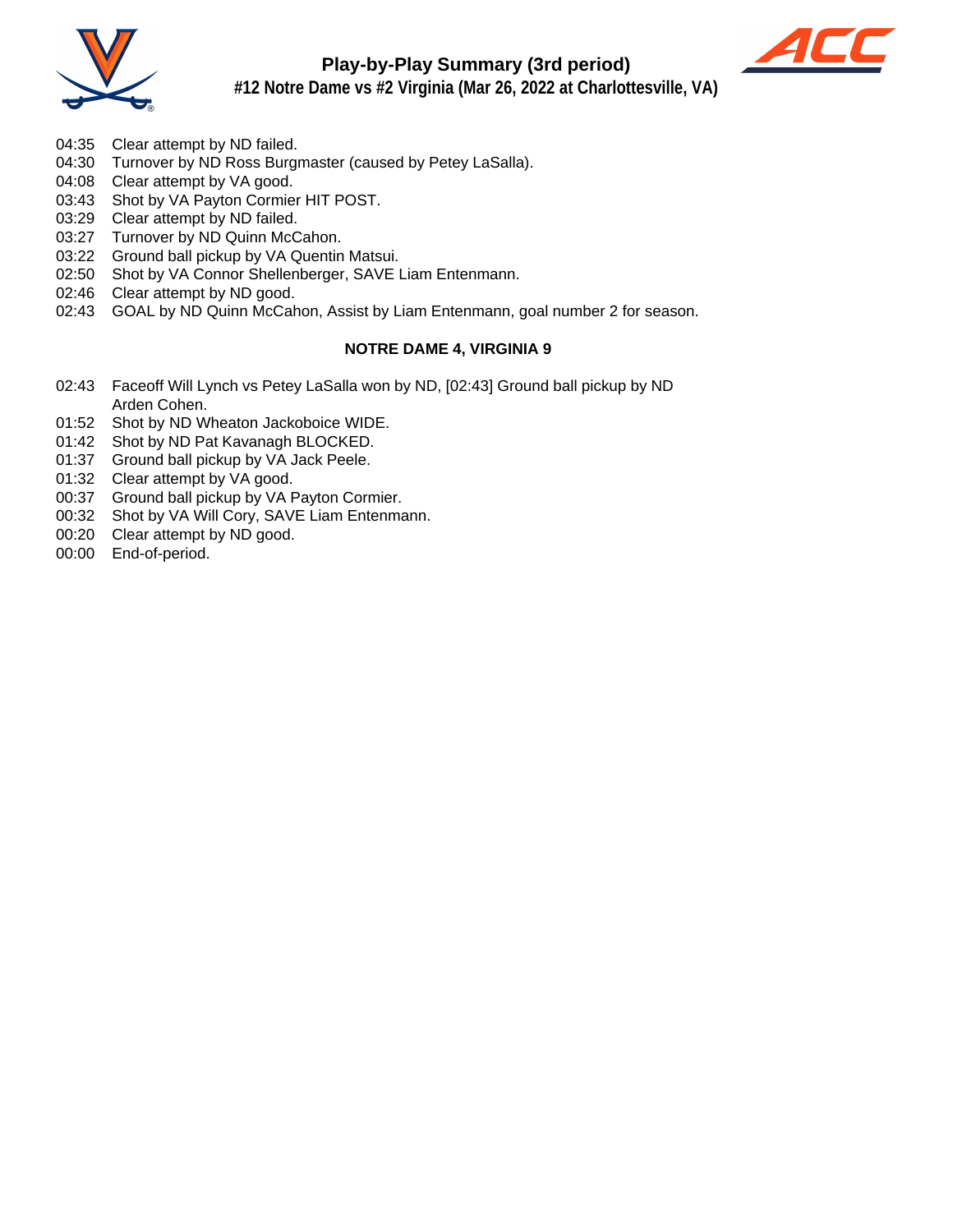

## **Play-by-Play Summary (3rd period)**



**#12 Notre Dame vs #2 Virginia (Mar 26, 2022 at Charlottesville, VA)**

- 04:35 Clear attempt by ND failed.
- 04:30 Turnover by ND Ross Burgmaster (caused by Petey LaSalla).
- 04:08 Clear attempt by VA good.
- 03:43 Shot by VA Payton Cormier HIT POST.
- 03:29 Clear attempt by ND failed.
- 03:27 Turnover by ND Quinn McCahon.
- 03:22 Ground ball pickup by VA Quentin Matsui.
- 02:50 Shot by VA Connor Shellenberger, SAVE Liam Entenmann.
- 02:46 Clear attempt by ND good.
- 02:43 GOAL by ND Quinn McCahon, Assist by Liam Entenmann, goal number 2 for season.

#### **NOTRE DAME 4, VIRGINIA 9**

- 02:43 Faceoff Will Lynch vs Petey LaSalla won by ND, [02:43] Ground ball pickup by ND Arden Cohen.
- 01:52 Shot by ND Wheaton Jackoboice WIDE.
- 01:42 Shot by ND Pat Kavanagh BLOCKED.
- 01:37 Ground ball pickup by VA Jack Peele.
- 01:32 Clear attempt by VA good.
- 00:37 Ground ball pickup by VA Payton Cormier.
- 00:32 Shot by VA Will Cory, SAVE Liam Entenmann.
- 00:20 Clear attempt by ND good.
- 00:00 End-of-period.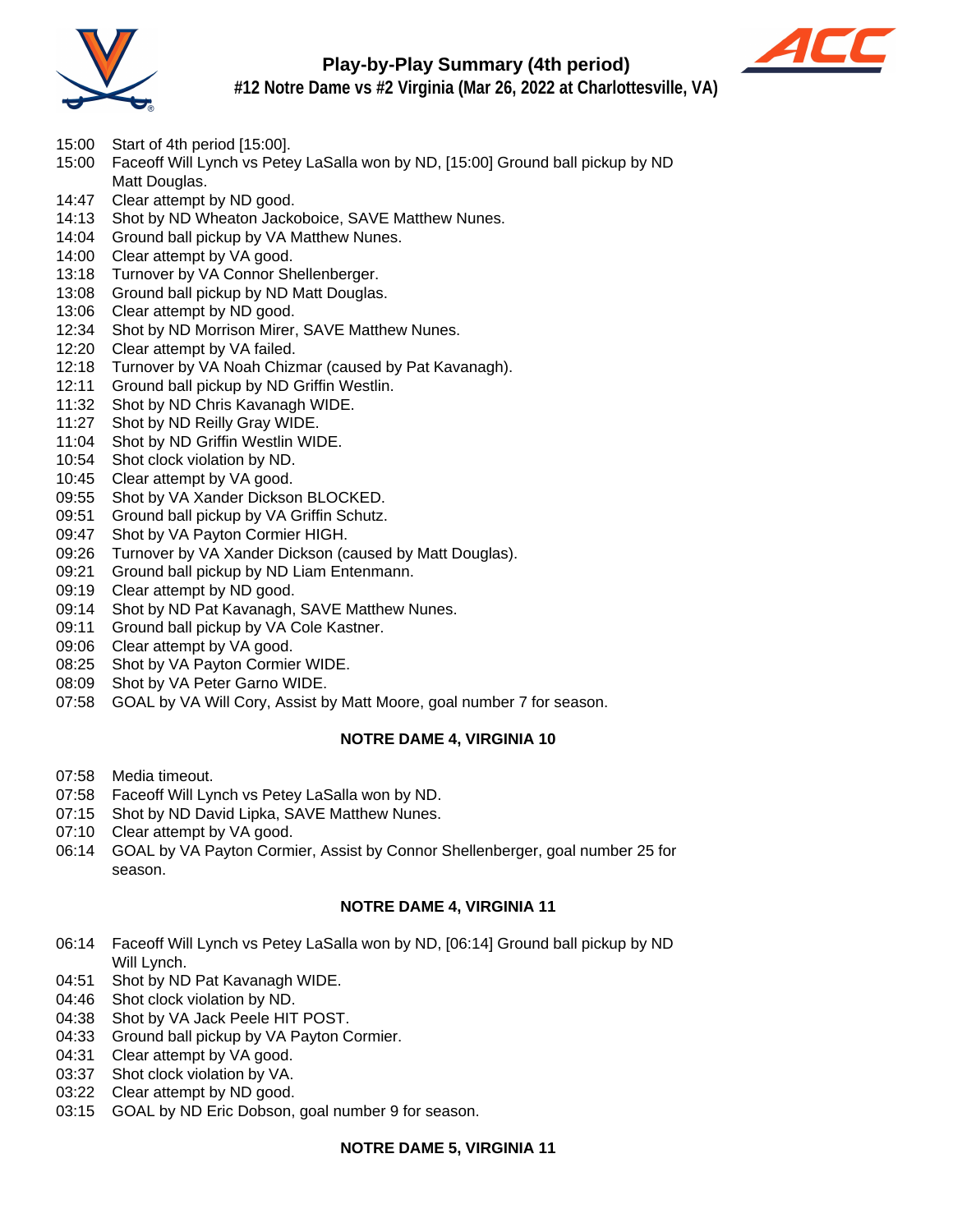

## **Play-by-Play Summary (4th period)**



**#12 Notre Dame vs #2 Virginia (Mar 26, 2022 at Charlottesville, VA)**

- 15:00 Start of 4th period [15:00].
- 15:00 Faceoff Will Lynch vs Petey LaSalla won by ND, [15:00] Ground ball pickup by ND Matt Douglas.
- 14:47 Clear attempt by ND good.
- 14:13 Shot by ND Wheaton Jackoboice, SAVE Matthew Nunes.
- 14:04 Ground ball pickup by VA Matthew Nunes.
- 14:00 Clear attempt by VA good.
- 13:18 Turnover by VA Connor Shellenberger.
- 13:08 Ground ball pickup by ND Matt Douglas.
- 13:06 Clear attempt by ND good.
- 12:34 Shot by ND Morrison Mirer, SAVE Matthew Nunes.
- 12:20 Clear attempt by VA failed.
- 12:18 Turnover by VA Noah Chizmar (caused by Pat Kavanagh).
- 12:11 Ground ball pickup by ND Griffin Westlin.
- 11:32 Shot by ND Chris Kavanagh WIDE.
- 11:27 Shot by ND Reilly Gray WIDE.
- 11:04 Shot by ND Griffin Westlin WIDE.
- 10:54 Shot clock violation by ND.
- 10:45 Clear attempt by VA good.
- 09:55 Shot by VA Xander Dickson BLOCKED.
- 09:51 Ground ball pickup by VA Griffin Schutz.
- 09:47 Shot by VA Payton Cormier HIGH.
- 09:26 Turnover by VA Xander Dickson (caused by Matt Douglas).
- 09:21 Ground ball pickup by ND Liam Entenmann.
- 09:19 Clear attempt by ND good.
- 09:14 Shot by ND Pat Kavanagh, SAVE Matthew Nunes.
- 09:11 Ground ball pickup by VA Cole Kastner.
- 09:06 Clear attempt by VA good.
- 08:25 Shot by VA Payton Cormier WIDE.
- 08:09 Shot by VA Peter Garno WIDE.
- 07:58 GOAL by VA Will Cory, Assist by Matt Moore, goal number 7 for season.

#### **NOTRE DAME 4, VIRGINIA 10**

- 07:58 Media timeout.
- 07:58 Faceoff Will Lynch vs Petey LaSalla won by ND.
- 07:15 Shot by ND David Lipka, SAVE Matthew Nunes.
- 07:10 Clear attempt by VA good.
- 06:14 GOAL by VA Payton Cormier, Assist by Connor Shellenberger, goal number 25 for season.

#### **NOTRE DAME 4, VIRGINIA 11**

- 06:14 Faceoff Will Lynch vs Petey LaSalla won by ND, [06:14] Ground ball pickup by ND Will Lynch.
- 04:51 Shot by ND Pat Kavanagh WIDE.
- 04:46 Shot clock violation by ND.
- 04:38 Shot by VA Jack Peele HIT POST.
- 04:33 Ground ball pickup by VA Payton Cormier.
- 04:31 Clear attempt by VA good.
- 03:37 Shot clock violation by VA.
- 03:22 Clear attempt by ND good.
- 03:15 GOAL by ND Eric Dobson, goal number 9 for season.

#### **NOTRE DAME 5, VIRGINIA 11**